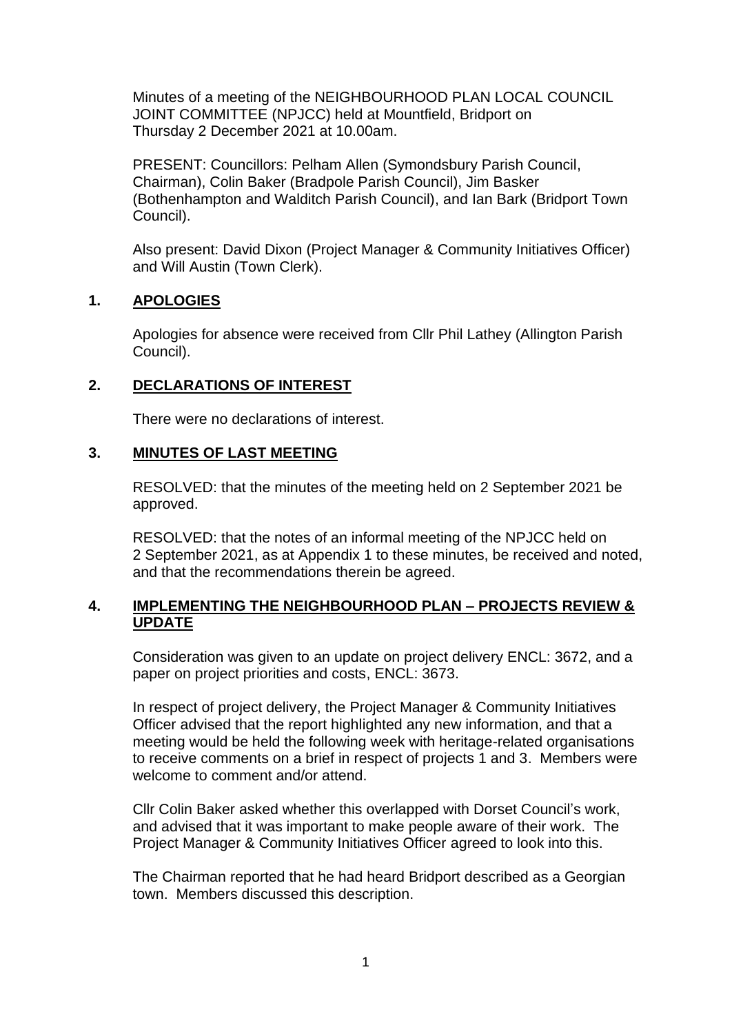Minutes of a meeting of the NEIGHBOURHOOD PLAN LOCAL COUNCIL JOINT COMMITTEE (NPJCC) held at Mountfield, Bridport on Thursday 2 December 2021 at 10.00am.

PRESENT: Councillors: Pelham Allen (Symondsbury Parish Council, Chairman), Colin Baker (Bradpole Parish Council), Jim Basker (Bothenhampton and Walditch Parish Council), and Ian Bark (Bridport Town Council).

Also present: David Dixon (Project Manager & Community Initiatives Officer) and Will Austin (Town Clerk).

## **1. APOLOGIES**

Apologies for absence were received from Cllr Phil Lathey (Allington Parish Council).

## **2. DECLARATIONS OF INTEREST**

There were no declarations of interest.

### **3. MINUTES OF LAST MEETING**

RESOLVED: that the minutes of the meeting held on 2 September 2021 be approved.

RESOLVED: that the notes of an informal meeting of the NPJCC held on 2 September 2021, as at Appendix 1 to these minutes, be received and noted, and that the recommendations therein be agreed.

### **4. IMPLEMENTING THE NEIGHBOURHOOD PLAN – PROJECTS REVIEW & UPDATE**

Consideration was given to an update on project delivery ENCL: 3672, and a paper on project priorities and costs, ENCL: 3673.

In respect of project delivery, the Project Manager & Community Initiatives Officer advised that the report highlighted any new information, and that a meeting would be held the following week with heritage-related organisations to receive comments on a brief in respect of projects 1 and 3. Members were welcome to comment and/or attend.

Cllr Colin Baker asked whether this overlapped with Dorset Council's work, and advised that it was important to make people aware of their work. The Project Manager & Community Initiatives Officer agreed to look into this.

The Chairman reported that he had heard Bridport described as a Georgian town. Members discussed this description.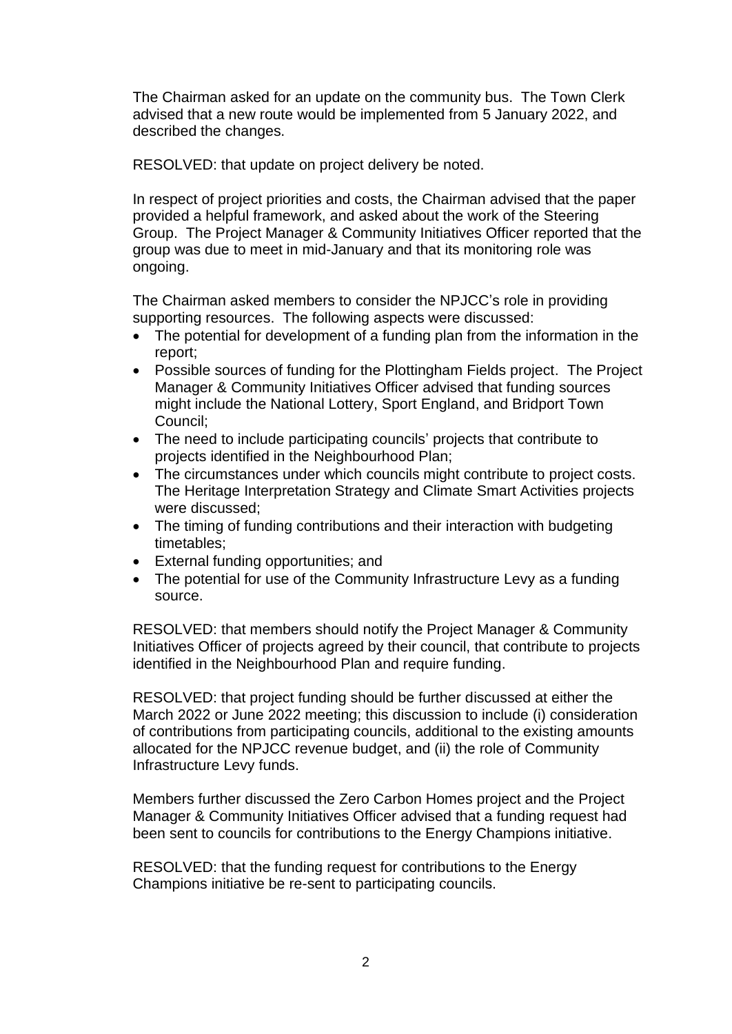The Chairman asked for an update on the community bus. The Town Clerk advised that a new route would be implemented from 5 January 2022, and described the changes.

RESOLVED: that update on project delivery be noted.

In respect of project priorities and costs, the Chairman advised that the paper provided a helpful framework, and asked about the work of the Steering Group. The Project Manager & Community Initiatives Officer reported that the group was due to meet in mid-January and that its monitoring role was ongoing.

The Chairman asked members to consider the NPJCC's role in providing supporting resources. The following aspects were discussed:

- The potential for development of a funding plan from the information in the report;
- Possible sources of funding for the Plottingham Fields project. The Project Manager & Community Initiatives Officer advised that funding sources might include the National Lottery, Sport England, and Bridport Town Council;
- The need to include participating councils' projects that contribute to projects identified in the Neighbourhood Plan;
- The circumstances under which councils might contribute to project costs. The Heritage Interpretation Strategy and Climate Smart Activities projects were discussed;
- The timing of funding contributions and their interaction with budgeting timetables;
- External funding opportunities; and
- The potential for use of the Community Infrastructure Levy as a funding source.

RESOLVED: that members should notify the Project Manager & Community Initiatives Officer of projects agreed by their council, that contribute to projects identified in the Neighbourhood Plan and require funding.

RESOLVED: that project funding should be further discussed at either the March 2022 or June 2022 meeting; this discussion to include (i) consideration of contributions from participating councils, additional to the existing amounts allocated for the NPJCC revenue budget, and (ii) the role of Community Infrastructure Levy funds.

Members further discussed the Zero Carbon Homes project and the Project Manager & Community Initiatives Officer advised that a funding request had been sent to councils for contributions to the Energy Champions initiative.

RESOLVED: that the funding request for contributions to the Energy Champions initiative be re-sent to participating councils.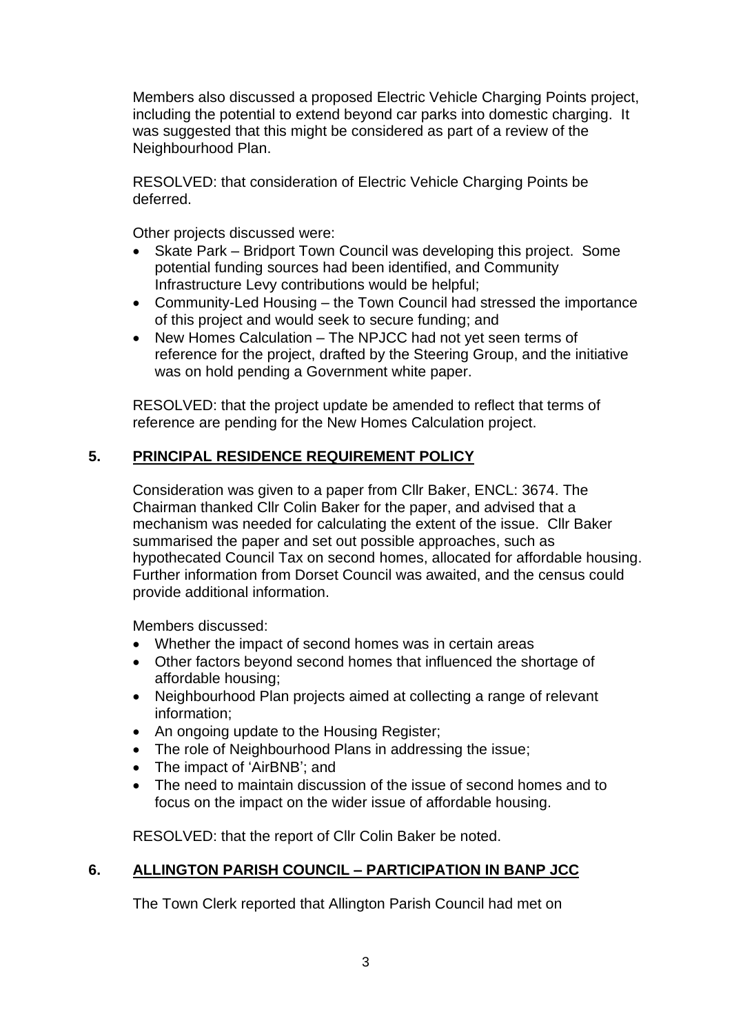Members also discussed a proposed Electric Vehicle Charging Points project, including the potential to extend beyond car parks into domestic charging. It was suggested that this might be considered as part of a review of the Neighbourhood Plan.

RESOLVED: that consideration of Electric Vehicle Charging Points be deferred.

Other projects discussed were:

- Skate Park Bridport Town Council was developing this project. Some potential funding sources had been identified, and Community Infrastructure Levy contributions would be helpful;
- Community-Led Housing the Town Council had stressed the importance of this project and would seek to secure funding; and
- New Homes Calculation The NPJCC had not yet seen terms of reference for the project, drafted by the Steering Group, and the initiative was on hold pending a Government white paper.

RESOLVED: that the project update be amended to reflect that terms of reference are pending for the New Homes Calculation project.

## **5. PRINCIPAL RESIDENCE REQUIREMENT POLICY**

Consideration was given to a paper from Cllr Baker, ENCL: 3674. The Chairman thanked Cllr Colin Baker for the paper, and advised that a mechanism was needed for calculating the extent of the issue. Cllr Baker summarised the paper and set out possible approaches, such as hypothecated Council Tax on second homes, allocated for affordable housing. Further information from Dorset Council was awaited, and the census could provide additional information.

Members discussed:

- Whether the impact of second homes was in certain areas
- Other factors beyond second homes that influenced the shortage of affordable housing;
- Neighbourhood Plan projects aimed at collecting a range of relevant information;
- An ongoing update to the Housing Register;
- The role of Neighbourhood Plans in addressing the issue;
- The impact of 'AirBNB'; and
- The need to maintain discussion of the issue of second homes and to focus on the impact on the wider issue of affordable housing.

RESOLVED: that the report of Cllr Colin Baker be noted.

### **6. ALLINGTON PARISH COUNCIL – PARTICIPATION IN BANP JCC**

The Town Clerk reported that Allington Parish Council had met on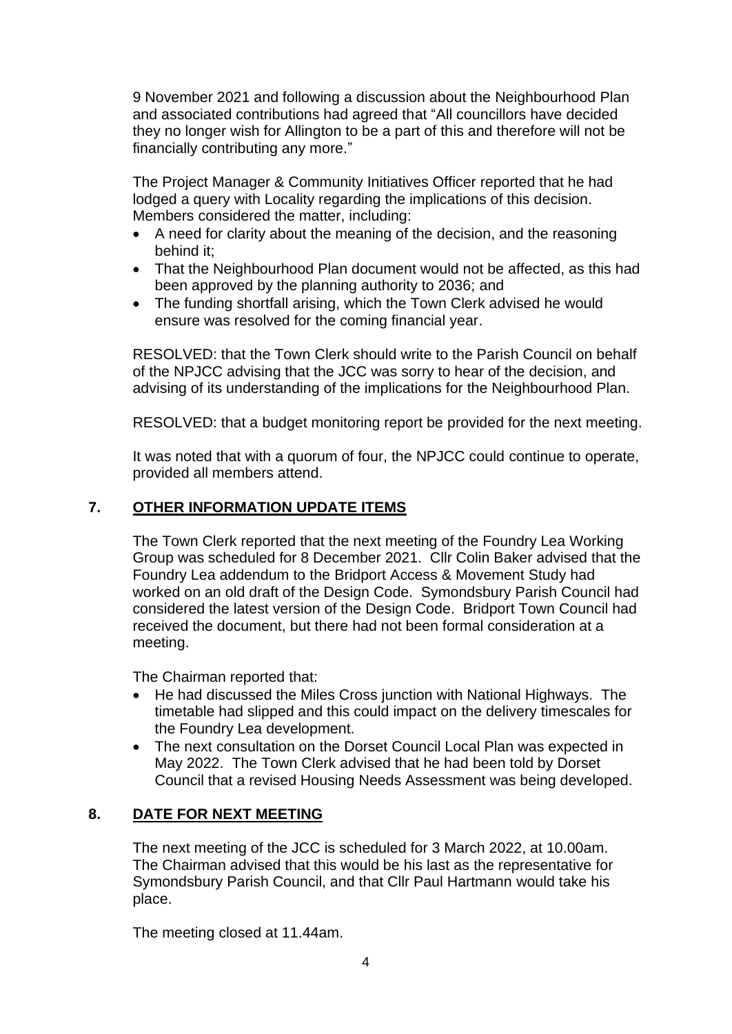9 November 2021 and following a discussion about the Neighbourhood Plan and associated contributions had agreed that "All councillors have decided they no longer wish for Allington to be a part of this and therefore will not be financially contributing any more."

The Project Manager & Community Initiatives Officer reported that he had lodged a query with Locality regarding the implications of this decision. Members considered the matter, including:

- A need for clarity about the meaning of the decision, and the reasoning behind it;
- That the Neighbourhood Plan document would not be affected, as this had been approved by the planning authority to 2036; and
- The funding shortfall arising, which the Town Clerk advised he would ensure was resolved for the coming financial year.

RESOLVED: that the Town Clerk should write to the Parish Council on behalf of the NPJCC advising that the JCC was sorry to hear of the decision, and advising of its understanding of the implications for the Neighbourhood Plan.

RESOLVED: that a budget monitoring report be provided for the next meeting.

It was noted that with a quorum of four, the NPJCC could continue to operate, provided all members attend.

## **7. OTHER INFORMATION UPDATE ITEMS**

The Town Clerk reported that the next meeting of the Foundry Lea Working Group was scheduled for 8 December 2021. Cllr Colin Baker advised that the Foundry Lea addendum to the Bridport Access & Movement Study had worked on an old draft of the Design Code. Symondsbury Parish Council had considered the latest version of the Design Code. Bridport Town Council had received the document, but there had not been formal consideration at a meeting.

The Chairman reported that:

- He had discussed the Miles Cross junction with National Highways. The timetable had slipped and this could impact on the delivery timescales for the Foundry Lea development.
- The next consultation on the Dorset Council Local Plan was expected in May 2022. The Town Clerk advised that he had been told by Dorset Council that a revised Housing Needs Assessment was being developed.

# **8. DATE FOR NEXT MEETING**

The next meeting of the JCC is scheduled for 3 March 2022, at 10.00am. The Chairman advised that this would be his last as the representative for Symondsbury Parish Council, and that Cllr Paul Hartmann would take his place.

The meeting closed at 11.44am.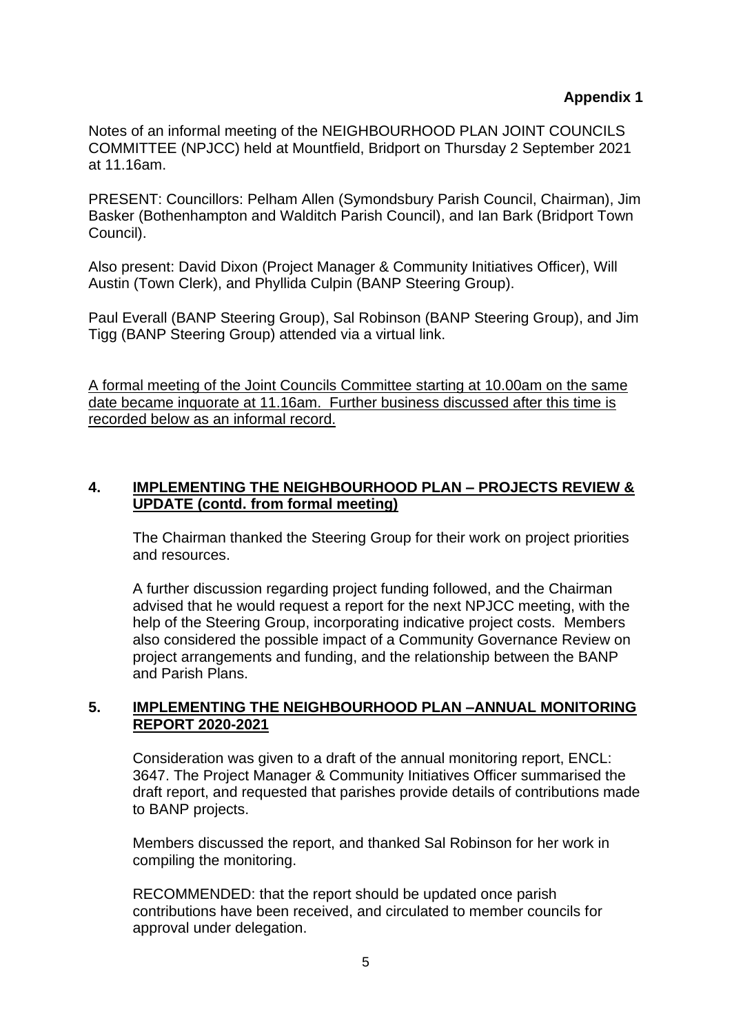# **Appendix 1**

Notes of an informal meeting of the NEIGHBOURHOOD PLAN JOINT COUNCILS COMMITTEE (NPJCC) held at Mountfield, Bridport on Thursday 2 September 2021 at 11.16am.

PRESENT: Councillors: Pelham Allen (Symondsbury Parish Council, Chairman), Jim Basker (Bothenhampton and Walditch Parish Council), and Ian Bark (Bridport Town Council).

Also present: David Dixon (Project Manager & Community Initiatives Officer), Will Austin (Town Clerk), and Phyllida Culpin (BANP Steering Group).

Paul Everall (BANP Steering Group), Sal Robinson (BANP Steering Group), and Jim Tigg (BANP Steering Group) attended via a virtual link.

A formal meeting of the Joint Councils Committee starting at 10.00am on the same date became inquorate at 11.16am. Further business discussed after this time is recorded below as an informal record.

# **4. IMPLEMENTING THE NEIGHBOURHOOD PLAN – PROJECTS REVIEW & UPDATE (contd. from formal meeting)**

The Chairman thanked the Steering Group for their work on project priorities and resources.

A further discussion regarding project funding followed, and the Chairman advised that he would request a report for the next NPJCC meeting, with the help of the Steering Group, incorporating indicative project costs. Members also considered the possible impact of a Community Governance Review on project arrangements and funding, and the relationship between the BANP and Parish Plans.

## **5. IMPLEMENTING THE NEIGHBOURHOOD PLAN –ANNUAL MONITORING REPORT 2020-2021**

Consideration was given to a draft of the annual monitoring report, ENCL: 3647. The Project Manager & Community Initiatives Officer summarised the draft report, and requested that parishes provide details of contributions made to BANP projects.

Members discussed the report, and thanked Sal Robinson for her work in compiling the monitoring.

RECOMMENDED: that the report should be updated once parish contributions have been received, and circulated to member councils for approval under delegation.